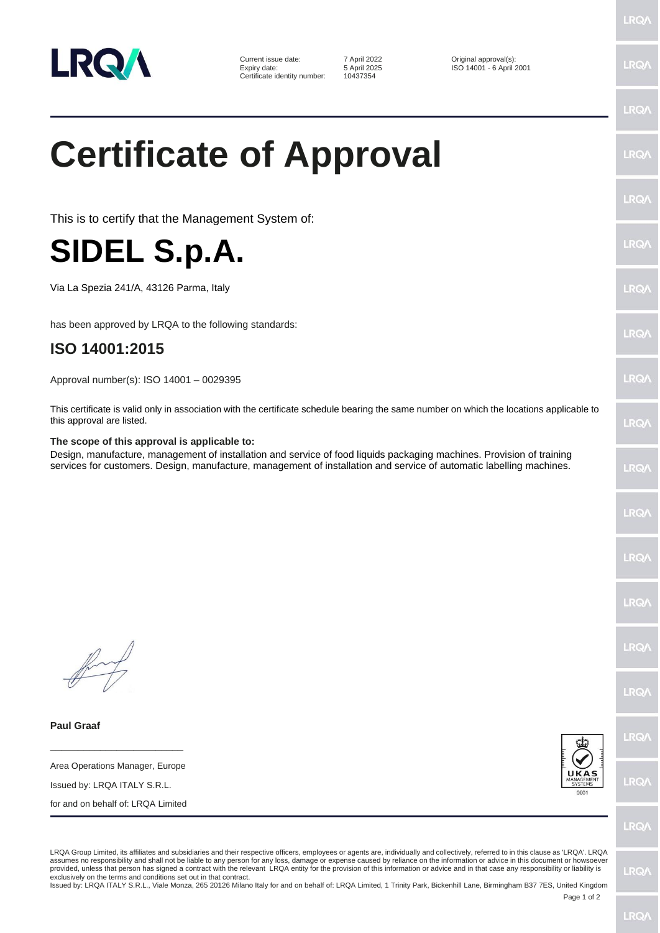

Current issue date: <br>
Expiry date: <br>
5 April 2025 (South 1901 - 6 April 2025) Certificate identity number:

Expiry date: 5 April 2025 ISO 14001 - 6 April 2001

## **Certificate of Approval**

This is to certify that the Management System of:



Via La Spezia 241/A, 43126 Parma, Italy

has been approved by LRQA to the following standards:

## **ISO 14001:2015**

Approval number(s): ISO 14001 – 0029395

This certificate is valid only in association with the certificate schedule bearing the same number on which the locations applicable to this approval are listed.

## **The scope of this approval is applicable to:**

Design, manufacture, management of installation and service of food liquids packaging machines. Provision of training services for customers. Design, manufacture, management of installation and service of automatic labelling machines.

**Paul Graaf**

**\_\_\_\_\_\_\_\_\_\_\_\_\_\_\_\_\_\_\_\_\_\_\_\_** Area Operations Manager, Europe

Issued by: LRQA ITALY S.R.L.

for and on behalf of: LRQA Limited



LRO/

LRQA Group Limited, its affiliates and subsidiaries and their respective officers, employees or agents are, individually and collectively, referred to in this clause as 'LRQA'. LRQA assumes no responsibility and shall not be liable to any person for any loss, damage or expense caused by reliance on the information or advice in this document or howsoever provided, unless that person has signed a contract with the relevant LRQA entity for the provision of this information or advice and in that case any responsibility or liability is<br>exclusively on the terms and conditions s

Issued by: LRQA ITALY S.R.L., Viale Monza, 265 20126 Milano Italy for and on behalf of: LRQA Limited, 1 Trinity Park, Bickenhill Lane, Birmingham B37 7ES, United Kingdom

Page 1 of 2

LRQ/

**LRQ/** 

LRO/

**IRQ/** 

**LRQ** 

LRQ/

**LRQ/** 

 $PQ$ 

LRQ/

LRQ/

LRQ/

LRQ/

LRQ/

LRQ/

LRQ/

LRQ/

**LRQ/** 

**IRQ/**